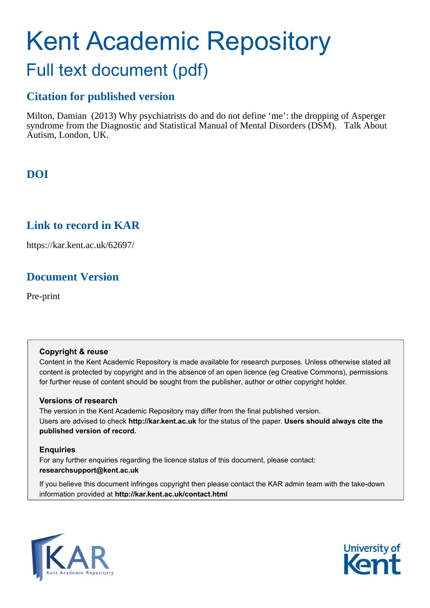# Kent Academic Repository Full text document (pdf)

## **Citation for published version**

Milton, Damian (2013) Why psychiatrists do and do not define 'me': the dropping of Asperger syndrome from the Diagnostic and Statistical Manual of Mental Disorders (DSM). Talk About Autism, London, UK.

# **DOI**

## **Link to record in KAR**

https://kar.kent.ac.uk/62697/

# **Document Version**

Pre-print

## **Copyright & reuse**

Content in the Kent Academic Repository is made available for research purposes. Unless otherwise stated all content is protected by copyright and in the absence of an open licence (eg Creative Commons), permissions for further reuse of content should be sought from the publisher, author or other copyright holder.

## **Versions of research**

The version in the Kent Academic Repository may differ from the final published version. Users are advised to check **http://kar.kent.ac.uk** for the status of the paper. **Users should always cite the published version of record.**

## **Enquiries**

For any further enquiries regarding the licence status of this document, please contact: **researchsupport@kent.ac.uk**

If you believe this document infringes copyright then please contact the KAR admin team with the take-down information provided at **http://kar.kent.ac.uk/contact.html**



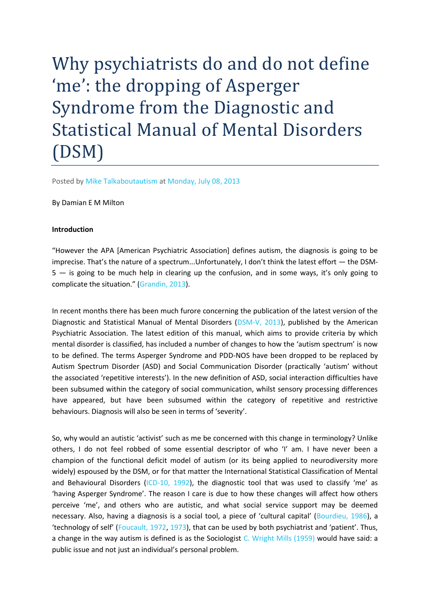Why psychiatrists do and do not define 'me': the dropping of Asperger Syndrome from the Diagnostic and Statistical Manual of Mental Disorders (DSM)

Posted by Mike Talkaboutautism at Monday, July 08, 2013

By Damian E M Milton

#### **Introduction**

"However the APA [American Psychiatric Association] defines autism, the diagnosis is going to be imprecise. That's the nature of a spectrum...Unfortunately, I don't think the latest effort — the DSM- $5 -$  is going to be much help in clearing up the confusion, and in some ways, it's only going to complicate the situation." (Grandin, 2013).

In recent months there has been much furore concerning the publication of the latest version of the Diagnostic and Statistical Manual of Mental Disorders (DSM-V, 2013), published by the American Psychiatric Association. The latest edition of this manual, which aims to provide criteria by which mental disorder is classified, has included a number of changes to how the 'autism spectrum' is now to be defined. The terms Asperger Syndrome and PDD-NOS have been dropped to be replaced by Autism Spectrum Disorder (ASD) and Social Communication Disorder (practically 'autism' without the associated 'repetitive interests'). In the new definition of ASD, social interaction difficulties have been subsumed within the category of social communication, whilst sensory processing differences have appeared, but have been subsumed within the category of repetitive and restrictive behaviours. Diagnosis will also be seen in terms of 'severity'.

So, why would an autistic 'activist' such as me be concerned with this change in terminology? Unlike others, I do not feel robbed of some essential descriptor of who 'I' am. I have never been a champion of the functional deficit model of autism (or its being applied to neurodiversity more widely) espoused by the DSM, or for that matter the International Statistical Classification of Mental and Behavioural Disorders (ICD-10, 1992), the diagnostic tool that was used to classify 'me' as "having Asperger Syndrome". The reason I care is due to how these changes will affect how others perceive 'me', and others who are autistic, and what social service support may be deemed necessary. Also, having a diagnosis is a social tool, a piece of 'cultural capital' (Bourdieu, 1986), a 'technology of self' (Foucault, 1972, 1973), that can be used by both psychiatrist and 'patient'. Thus, a change in the way autism is defined is as the Sociologist C. Wright Mills (1959) would have said: a public issue and not just an individual's personal problem.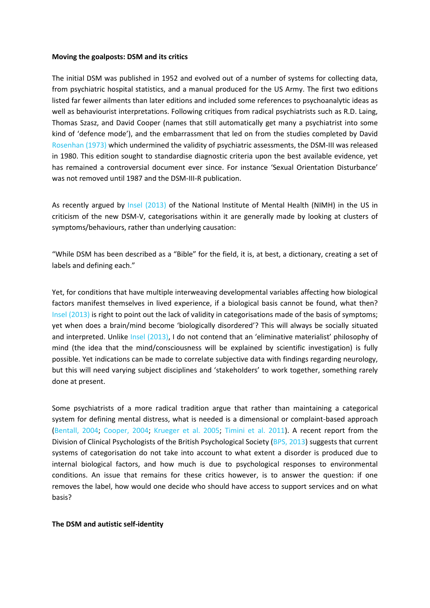#### **Moving the goalposts: DSM and its critics**

The initial DSM was published in 1952 and evolved out of a number of systems for collecting data, from psychiatric hospital statistics, and a manual produced for the US Army. The first two editions listed far fewer ailments than later editions and included some references to psychoanalytic ideas as well as behaviourist interpretations. Following critiques from radical psychiatrists such as R.D. Laing, Thomas Szasz, and David Cooper (names that still automatically get many a psychiatrist into some kind of 'defence mode'), and the embarrassment that led on from the studies completed by David Rosenhan (1973) which undermined the validity of psychiatric assessments, the DSM-III was released in 1980. This edition sought to standardise diagnostic criteria upon the best available evidence, yet has remained a controversial document ever since. For instance 'Sexual Orientation Disturbance' was not removed until 1987 and the DSM-III-R publication.

As recently argued by Insel (2013) of the National Institute of Mental Health (NIMH) in the US in criticism of the new DSM-V, categorisations within it are generally made by looking at clusters of symptoms/behaviours, rather than underlying causation:

"While DSM has been described as a "Bible" for the field, it is, at best, a dictionary, creating a set of labels and defining each."

Yet, for conditions that have multiple interweaving developmental variables affecting how biological factors manifest themselves in lived experience, if a biological basis cannot be found, what then? Insel (2013) is right to point out the lack of validity in categorisations made of the basis of symptoms; yet when does a brain/mind become 'biologically disordered'? This will always be socially situated and interpreted. Unlike Insel (2013), I do not contend that an 'eliminative materialist' philosophy of mind (the idea that the mind/consciousness will be explained by scientific investigation) is fully possible. Yet indications can be made to correlate subjective data with findings regarding neurology, but this will need varying subject disciplines and 'stakeholders' to work together, something rarely done at present.

Some psychiatrists of a more radical tradition argue that rather than maintaining a categorical system for defining mental distress, what is needed is a dimensional or complaint-based approach (Bentall, 2004; Cooper, 2004; Krueger et al. 2005; Timini et al. 2011). A recent report from the Division of Clinical Psychologists of the British Psychological Society (BPS, 2013) suggests that current systems of categorisation do not take into account to what extent a disorder is produced due to internal biological factors, and how much is due to psychological responses to environmental conditions. An issue that remains for these critics however, is to answer the question: if one removes the label, how would one decide who should have access to support services and on what basis?

#### **The DSM and autistic self-identity**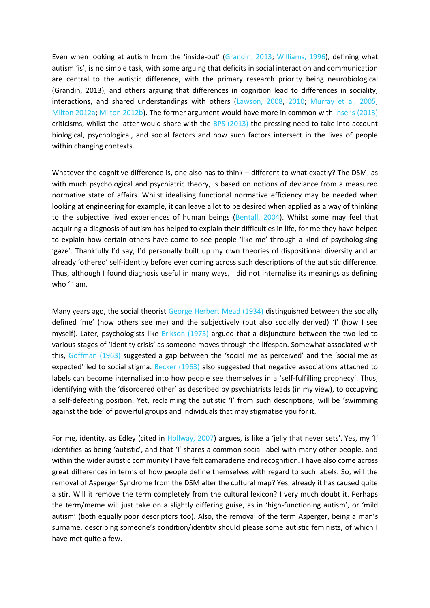Even when looking at autism from the 'inside-out' (Grandin, 2013; Williams, 1996), defining what autism 'is', is no simple task, with some arguing that deficits in social interaction and communication are central to the autistic difference, with the primary research priority being neurobiological (Grandin, 2013), and others arguing that differences in cognition lead to differences in sociality, interactions, and shared understandings with others (Lawson, 2008, 2010; Murray et al. 2005; Milton 2012a; Milton 2012b). The former argument would have more in common with Insel's (2013) criticisms, whilst the latter would share with the BPS (2013) the pressing need to take into account biological, psychological, and social factors and how such factors intersect in the lives of people within changing contexts.

Whatever the cognitive difference is, one also has to think – different to what exactly? The DSM, as with much psychological and psychiatric theory, is based on notions of deviance from a measured normative state of affairs. Whilst idealising functional normative efficiency may be needed when looking at engineering for example, it can leave a lot to be desired when applied as a way of thinking to the subjective lived experiences of human beings (Bentall, 2004). Whilst some may feel that acquiring a diagnosis of autism has helped to explain their difficulties in life, for me they have helped to explain how certain others have come to see people 'like me' through a kind of psychologising 'gaze'. Thankfully I'd say, I'd personally built up my own theories of dispositional diversity and an already 'othered' self-identity before ever coming across such descriptions of the autistic difference. Thus, although I found diagnosis useful in many ways, I did not internalise its meanings as defining who 'I' am.

Many years ago, the social theorist George Herbert Mead (1934) distinguished between the socially defined 'me' (how others see me) and the subjectively (but also socially derived) 'I' (how I see myself). Later, psychologists like Erikson (1975) argued that a disjuncture between the two led to various stages of 'identity crisis' as someone moves through the lifespan. Somewhat associated with this, Goffman (1963) suggested a gap between the 'social me as perceived' and the 'social me as expected' led to social stigma. Becker (1963) also suggested that negative associations attached to labels can become internalised into how people see themselves in a 'self-fulfilling prophecy'. Thus, identifying with the 'disordered other' as described by psychiatrists leads (in my view), to occupying a self-defeating position. Yet, reclaiming the autistic 'I' from such descriptions, will be 'swimming against the tide' of powerful groups and individuals that may stigmatise you for it.

For me, identity, as Edley (cited in Hollway, 2007) argues, is like a 'jelly that never sets'. Yes, my 'l' identifies as being 'autistic', and that 'I' shares a common social label with many other people, and within the wider autistic community I have felt camaraderie and recognition. I have also come across great differences in terms of how people define themselves with regard to such labels. So, will the removal of Asperger Syndrome from the DSM alter the cultural map? Yes, already it has caused quite a stir. Will it remove the term completely from the cultural lexicon? I very much doubt it. Perhaps the term/meme will just take on a slightly differing guise, as in 'high-functioning autism', or 'mild autism' (both equally poor descriptors too). Also, the removal of the term Asperger, being a man's surname, describing someone's condition/identity should please some autistic feminists, of which I have met quite a few.